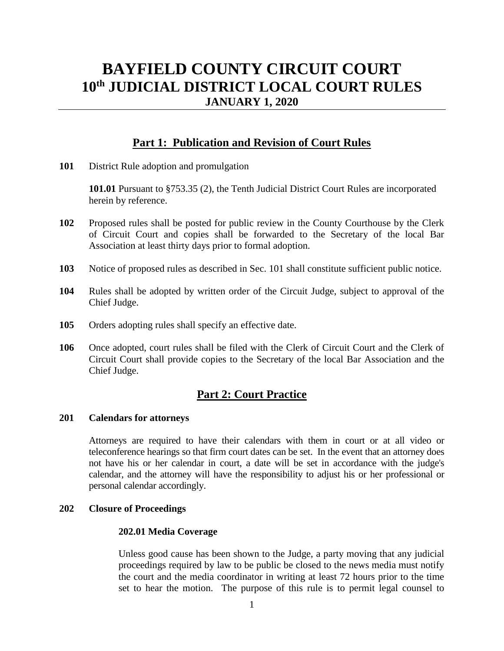# **BAYFIELD COUNTY CIRCUIT COURT 10th JUDICIAL DISTRICT LOCAL COURT RULES JANUARY 1, 2020**

## **Part 1: Publication and Revision of Court Rules**

**101** District Rule adoption and promulgation

**101.01** Pursuant to §753.35 (2), the Tenth Judicial District Court Rules are incorporated herein by reference.

- **102** Proposed rules shall be posted for public review in the County Courthouse by the Clerk of Circuit Court and copies shall be forwarded to the Secretary of the local Bar Association at least thirty days prior to formal adoption.
- **103** Notice of proposed rules as described in Sec. 101 shall constitute sufficient public notice.
- **104** Rules shall be adopted by written order of the Circuit Judge, subject to approval of the Chief Judge.
- **105** Orders adopting rules shall specify an effective date.
- **106** Once adopted, court rules shall be filed with the Clerk of Circuit Court and the Clerk of Circuit Court shall provide copies to the Secretary of the local Bar Association and the Chief Judge.

## **Part 2: Court Practice**

### **201 Calendars for attorneys**

Attorneys are required to have their calendars with them in court or at all video or teleconference hearings so that firm court dates can be set. In the event that an attorney does not have his or her calendar in court, a date will be set in accordance with the judge's calendar, and the attorney will have the responsibility to adjust his or her professional or personal calendar accordingly.

### **202 Closure of Proceedings**

### **202.01 Media Coverage**

Unless good cause has been shown to the Judge, a party moving that any judicial proceedings required by law to be public be closed to the news media must notify the court and the media coordinator in writing at least 72 hours prior to the time set to hear the motion. The purpose of this rule is to permit legal counsel to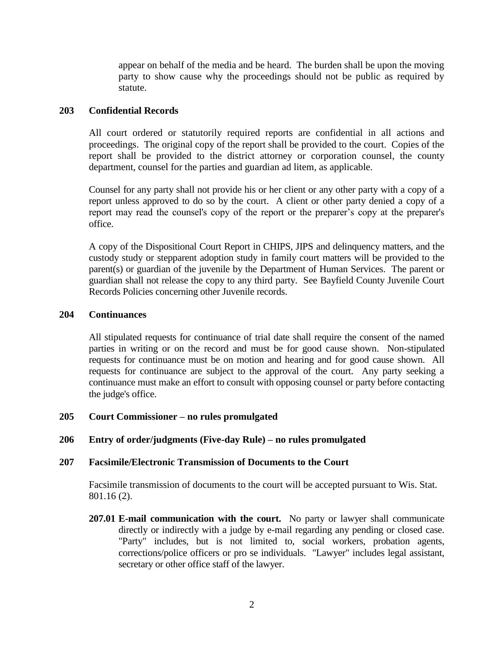appear on behalf of the media and be heard. The burden shall be upon the moving party to show cause why the proceedings should not be public as required by statute.

### **203 Confidential Records**

All court ordered or statutorily required reports are confidential in all actions and proceedings. The original copy of the report shall be provided to the court. Copies of the report shall be provided to the district attorney or corporation counsel, the county department, counsel for the parties and guardian ad litem, as applicable.

Counsel for any party shall not provide his or her client or any other party with a copy of a report unless approved to do so by the court. A client or other party denied a copy of a report may read the counsel's copy of the report or the preparer's copy at the preparer's office.

A copy of the Dispositional Court Report in CHIPS, JIPS and delinquency matters, and the custody study or stepparent adoption study in family court matters will be provided to the parent(s) or guardian of the juvenile by the Department of Human Services. The parent or guardian shall not release the copy to any third party. See Bayfield County Juvenile Court Records Policies concerning other Juvenile records.

### **204 Continuances**

All stipulated requests for continuance of trial date shall require the consent of the named parties in writing or on the record and must be for good cause shown. Non-stipulated requests for continuance must be on motion and hearing and for good cause shown. All requests for continuance are subject to the approval of the court. Any party seeking a continuance must make an effort to consult with opposing counsel or party before contacting the judge's office.

## **205 Court Commissioner – no rules promulgated**

## **206 Entry of order/judgments (Five-day Rule) – no rules promulgated**

### **207 Facsimile/Electronic Transmission of Documents to the Court**

Facsimile transmission of documents to the court will be accepted pursuant to Wis. Stat. 801.16 (2).

**207.01 E-mail communication with the court.** No party or lawyer shall communicate directly or indirectly with a judge by e-mail regarding any pending or closed case. "Party" includes, but is not limited to, social workers, probation agents, corrections/police officers or pro se individuals. "Lawyer" includes legal assistant, secretary or other office staff of the lawyer.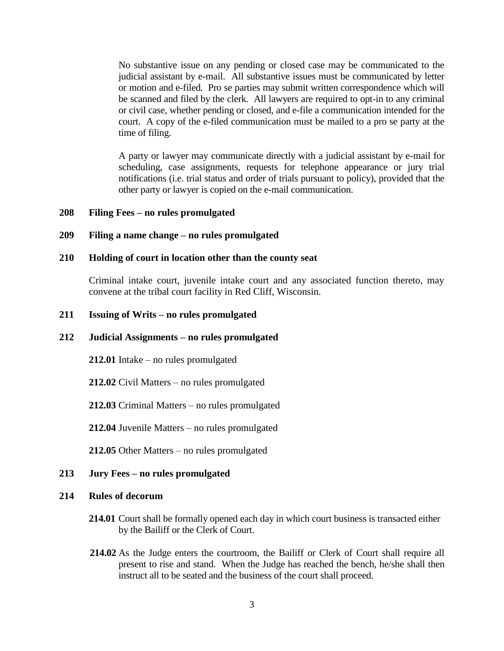No substantive issue on any pending or closed case may be communicated to the judicial assistant by e-mail. All substantive issues must be communicated by letter or motion and e-filed. Pro se parties may submit written correspondence which will be scanned and filed by the clerk. All lawyers are required to opt-in to any criminal or civil case, whether pending or closed, and e-file a communication intended for the court. A copy of the e-filed communication must be mailed to a pro se party at the time of filing.

A party or lawyer may communicate directly with a judicial assistant by e-mail for scheduling, case assignments, requests for telephone appearance or jury trial notifications (i.e. trial status and order of trials pursuant to policy), provided that the other party or lawyer is copied on the e-mail communication.

### **208 Filing Fees – no rules promulgated**

### **209 Filing a name change – no rules promulgated**

#### **210 Holding of court in location other than the county seat**

Criminal intake court, juvenile intake court and any associated function thereto, may convene at the tribal court facility in Red Cliff, Wisconsin.

### **211 Issuing of Writs – no rules promulgated**

#### **212 Judicial Assignments – no rules promulgated**

**212.01** Intake – no rules promulgated

**212.02** Civil Matters – no rules promulgated

**212.03** Criminal Matters – no rules promulgated

**212.04** Juvenile Matters – no rules promulgated

**212.05** Other Matters – no rules promulgated

#### **213 Jury Fees – no rules promulgated**

#### **214 Rules of decorum**

- **214.01** Court shall be formally opened each day in which court business is transacted either by the Bailiff or the Clerk of Court.
- **214.02** As the Judge enters the courtroom, the Bailiff or Clerk of Court shall require all present to rise and stand. When the Judge has reached the bench, he/she shall then instruct all to be seated and the business of the court shall proceed.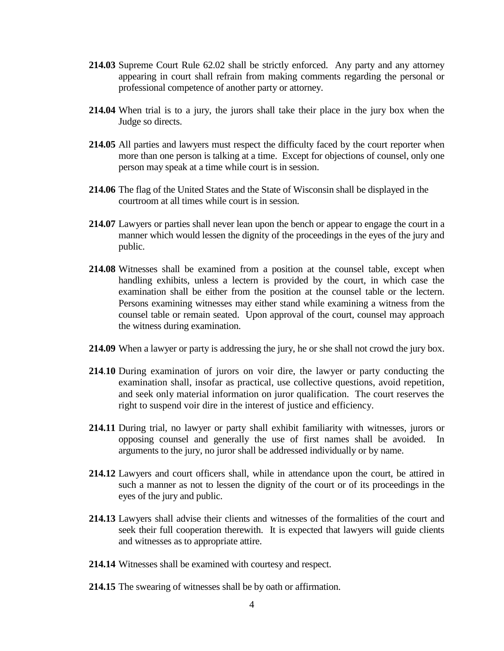- **214.03** Supreme Court Rule 62.02 shall be strictly enforced. Any party and any attorney appearing in court shall refrain from making comments regarding the personal or professional competence of another party or attorney.
- **214.04** When trial is to a jury, the jurors shall take their place in the jury box when the Judge so directs.
- **214.05** All parties and lawyers must respect the difficulty faced by the court reporter when more than one person is talking at a time. Except for objections of counsel, only one person may speak at a time while court is in session.
- **214.06** The flag of the United States and the State of Wisconsin shall be displayed in the courtroom at all times while court is in session.
- **214.07** Lawyers or parties shall never lean upon the bench or appear to engage the court in a manner which would lessen the dignity of the proceedings in the eyes of the jury and public.
- **214.08** Witnesses shall be examined from a position at the counsel table, except when handling exhibits, unless a lectern is provided by the court, in which case the examination shall be either from the position at the counsel table or the lectern. Persons examining witnesses may either stand while examining a witness from the counsel table or remain seated. Upon approval of the court, counsel may approach the witness during examination.
- **214.09** When a lawyer or party is addressing the jury, he or she shall not crowd the jury box.
- **214**.**10** During examination of jurors on voir dire, the lawyer or party conducting the examination shall, insofar as practical, use collective questions, avoid repetition, and seek only material information on juror qualification. The court reserves the right to suspend voir dire in the interest of justice and efficiency.
- **214.11** During trial, no lawyer or party shall exhibit familiarity with witnesses, jurors or opposing counsel and generally the use of first names shall be avoided. In arguments to the jury, no juror shall be addressed individually or by name.
- **214.12** Lawyers and court officers shall, while in attendance upon the court, be attired in such a manner as not to lessen the dignity of the court or of its proceedings in the eyes of the jury and public.
- **214.13** Lawyers shall advise their clients and witnesses of the formalities of the court and seek their full cooperation therewith. It is expected that lawyers will guide clients and witnesses as to appropriate attire.
- **214.14** Witnesses shall be examined with courtesy and respect.
- **214.15** The swearing of witnesses shall be by oath or affirmation.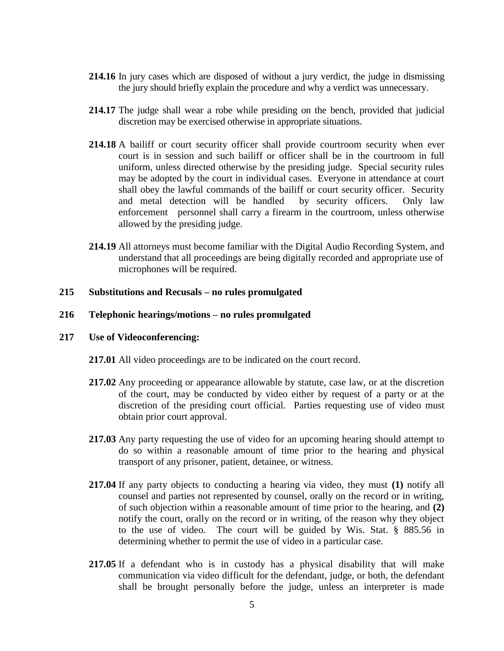- **214.16** In jury cases which are disposed of without a jury verdict, the judge in dismissing the jury should briefly explain the procedure and why a verdict was unnecessary.
- **214.17** The judge shall wear a robe while presiding on the bench, provided that judicial discretion may be exercised otherwise in appropriate situations.
- **214.18** A bailiff or court security officer shall provide courtroom security when ever court is in session and such bailiff or officer shall be in the courtroom in full uniform, unless directed otherwise by the presiding judge. Special security rules may be adopted by the court in individual cases. Everyone in attendance at court shall obey the lawful commands of the bailiff or court security officer. Security and metal detection will be handled by security officers. Only law enforcement personnel shall carry a firearm in the courtroom, unless otherwise allowed by the presiding judge.
- **214.19** All attorneys must become familiar with the Digital Audio Recording System, and understand that all proceedings are being digitally recorded and appropriate use of microphones will be required.

### **215 Substitutions and Recusals – no rules promulgated**

#### **216 Telephonic hearings/motions – no rules promulgated**

#### **217 Use of Videoconferencing:**

**217.01** All video proceedings are to be indicated on the court record.

- **217.02** Any proceeding or appearance allowable by statute, case law, or at the discretion of the court, may be conducted by video either by request of a party or at the discretion of the presiding court official. Parties requesting use of video must obtain prior court approval.
- **217.03** Any party requesting the use of video for an upcoming hearing should attempt to do so within a reasonable amount of time prior to the hearing and physical transport of any prisoner, patient, detainee, or witness.
- **217.04** If any party objects to conducting a hearing via video, they must **(1)** notify all counsel and parties not represented by counsel, orally on the record or in writing, of such objection within a reasonable amount of time prior to the hearing, and **(2)**  notify the court, orally on the record or in writing, of the reason why they object to the use of video. The court will be guided by Wis. Stat. § 885.56 in determining whether to permit the use of video in a particular case.
- **217.05** If a defendant who is in custody has a physical disability that will make communication via video difficult for the defendant, judge, or both, the defendant shall be brought personally before the judge, unless an interpreter is made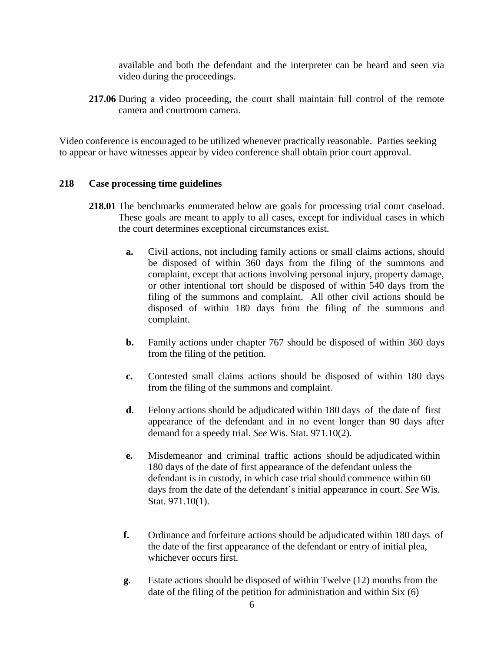available and both the defendant and the interpreter can be heard and seen via video during the proceedings.

**217.06** During a video proceeding, the court shall maintain full control of the remote camera and courtroom camera.

Video conference is encouraged to be utilized whenever practically reasonable. Parties seeking to appear or have witnesses appear by video conference shall obtain prior court approval.

## **218 Case processing time guidelines**

- **218.01** The benchmarks enumerated below are goals for processing trial court caseload. These goals are meant to apply to all cases, except for individual cases in which the court determines exceptional circumstances exist.
	- **a.** Civil actions, not including family actions or small claims actions, should be disposed of within 360 days from the filing of the summons and complaint, except that actions involving personal injury, property damage, or other intentional tort should be disposed of within 540 days from the filing of the summons and complaint. All other civil actions should be disposed of within 180 days from the filing of the summons and complaint.
	- **b.** Family actions under chapter 767 should be disposed of within 360 days from the filing of the petition.
	- **c.** Contested small claims actions should be disposed of within 180 days from the filing of the summons and complaint.
	- **d.** Felony actions should be adjudicated within 180 days of the date of first appearance of the defendant and in no event longer than 90 days after demand for a speedy trial. *See* Wis. Stat. 971.10(2).
	- **e.** Misdemeanor and criminal traffic actions should be adjudicated within 180 days of the date of first appearance of the defendant unless the defendant is in custody, in which case trial should commence within 60 days from the date of the defendant's initial appearance in court. *See* Wis. Stat. 971.10(1).
	- **f.** Ordinance and forfeiture actions should be adjudicated within 180 days of the date of the first appearance of the defendant or entry of initial plea, whichever occurs first.
	- **g.** Estate actions should be disposed of within Twelve (12) months from the date of the filing of the petition for administration and within Six (6)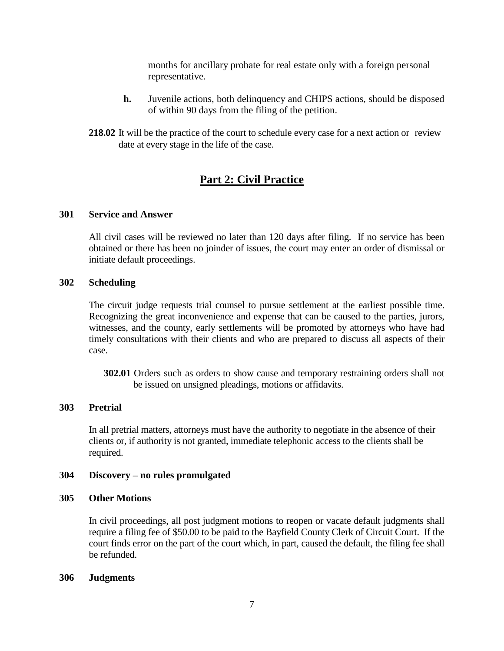months for ancillary probate for real estate only with a foreign personal representative.

- **h.** Juvenile actions, both delinquency and CHIPS actions, should be disposed of within 90 days from the filing of the petition.
- **218.02** It will be the practice of the court to schedule every case for a next action or review date at every stage in the life of the case.

## **Part 2: Civil Practice**

## **301 Service and Answer**

All civil cases will be reviewed no later than 120 days after filing. If no service has been obtained or there has been no joinder of issues, the court may enter an order of dismissal or initiate default proceedings.

### **302 Scheduling**

The circuit judge requests trial counsel to pursue settlement at the earliest possible time. Recognizing the great inconvenience and expense that can be caused to the parties, jurors, witnesses, and the county, early settlements will be promoted by attorneys who have had timely consultations with their clients and who are prepared to discuss all aspects of their case.

**302.01** Orders such as orders to show cause and temporary restraining orders shall not be issued on unsigned pleadings, motions or affidavits.

## **303 Pretrial**

In all pretrial matters, attorneys must have the authority to negotiate in the absence of their clients or, if authority is not granted, immediate telephonic access to the clients shall be required.

### **304 Discovery – no rules promulgated**

### **305 Other Motions**

In civil proceedings, all post judgment motions to reopen or vacate default judgments shall require a filing fee of \$50.00 to be paid to the Bayfield County Clerk of Circuit Court. If the court finds error on the part of the court which, in part, caused the default, the filing fee shall be refunded.

### **306 Judgments**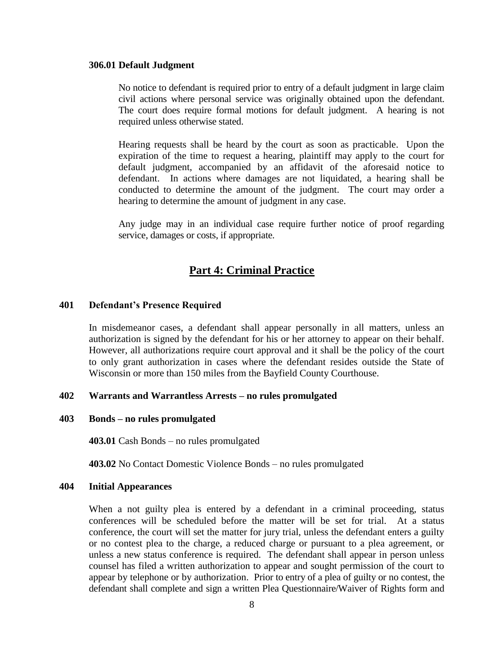#### **306.01 Default Judgment**

No notice to defendant is required prior to entry of a default judgment in large claim civil actions where personal service was originally obtained upon the defendant. The court does require formal motions for default judgment. A hearing is not required unless otherwise stated.

Hearing requests shall be heard by the court as soon as practicable. Upon the expiration of the time to request a hearing, plaintiff may apply to the court for default judgment, accompanied by an affidavit of the aforesaid notice to defendant. In actions where damages are not liquidated, a hearing shall be conducted to determine the amount of the judgment. The court may order a hearing to determine the amount of judgment in any case.

Any judge may in an individual case require further notice of proof regarding service, damages or costs, if appropriate.

## **Part 4: Criminal Practice**

### **401 Defendant's Presence Required**

In misdemeanor cases, a defendant shall appear personally in all matters, unless an authorization is signed by the defendant for his or her attorney to appear on their behalf. However, all authorizations require court approval and it shall be the policy of the court to only grant authorization in cases where the defendant resides outside the State of Wisconsin or more than 150 miles from the Bayfield County Courthouse.

### **402 Warrants and Warrantless Arrests – no rules promulgated**

#### **403 Bonds – no rules promulgated**

**403.01** Cash Bonds – no rules promulgated

**403.02** No Contact Domestic Violence Bonds – no rules promulgated

#### **404 Initial Appearances**

When a not guilty plea is entered by a defendant in a criminal proceeding, status conferences will be scheduled before the matter will be set for trial. At a status conference, the court will set the matter for jury trial, unless the defendant enters a guilty or no contest plea to the charge, a reduced charge or pursuant to a plea agreement, or unless a new status conference is required. The defendant shall appear in person unless counsel has filed a written authorization to appear and sought permission of the court to appear by telephone or by authorization. Prior to entry of a plea of guilty or no contest, the defendant shall complete and sign a written Plea Questionnaire/Waiver of Rights form and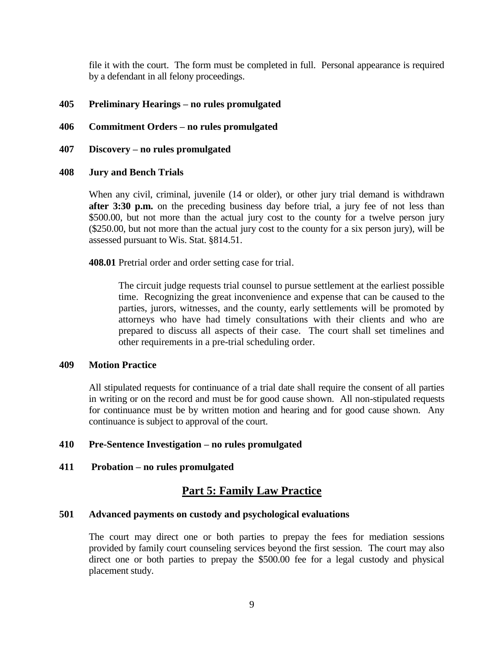file it with the court. The form must be completed in full. Personal appearance is required by a defendant in all felony proceedings.

## **405 Preliminary Hearings – no rules promulgated**

- **406 Commitment Orders – no rules promulgated**
- **407 Discovery – no rules promulgated**

### **408 Jury and Bench Trials**

When any civil, criminal, juvenile (14 or older), or other jury trial demand is withdrawn **after 3:30 p.m.** on the preceding business day before trial, a jury fee of not less than \$500.00, but not more than the actual jury cost to the county for a twelve person jury (\$250.00, but not more than the actual jury cost to the county for a six person jury), will be assessed pursuant to Wis. Stat. §814.51.

**408.01** Pretrial order and order setting case for trial.

The circuit judge requests trial counsel to pursue settlement at the earliest possible time. Recognizing the great inconvenience and expense that can be caused to the parties, jurors, witnesses, and the county, early settlements will be promoted by attorneys who have had timely consultations with their clients and who are prepared to discuss all aspects of their case. The court shall set timelines and other requirements in a pre-trial scheduling order.

### **409 Motion Practice**

All stipulated requests for continuance of a trial date shall require the consent of all parties in writing or on the record and must be for good cause shown. All non-stipulated requests for continuance must be by written motion and hearing and for good cause shown. Any continuance is subject to approval of the court.

### **410 Pre-Sentence Investigation – no rules promulgated**

## **411 Probation – no rules promulgated**

## **Part 5: Family Law Practice**

### **501 Advanced payments on custody and psychological evaluations**

The court may direct one or both parties to prepay the fees for mediation sessions provided by family court counseling services beyond the first session. The court may also direct one or both parties to prepay the \$500.00 fee for a legal custody and physical placement study.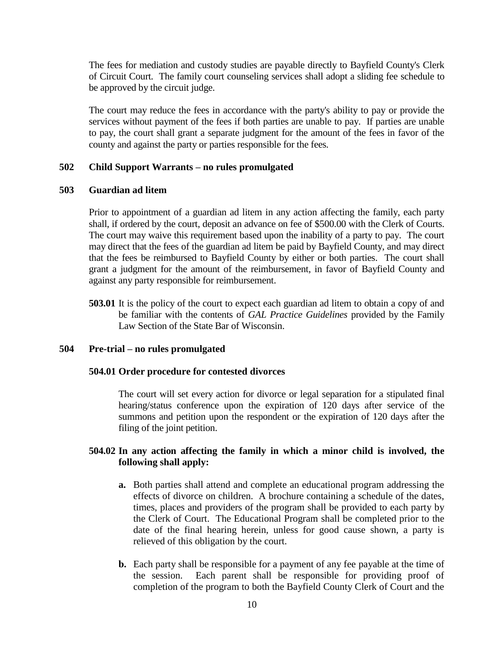The fees for mediation and custody studies are payable directly to Bayfield County's Clerk of Circuit Court. The family court counseling services shall adopt a sliding fee schedule to be approved by the circuit judge.

The court may reduce the fees in accordance with the party's ability to pay or provide the services without payment of the fees if both parties are unable to pay. If parties are unable to pay, the court shall grant a separate judgment for the amount of the fees in favor of the county and against the party or parties responsible for the fees.

### **502 Child Support Warrants – no rules promulgated**

### **503 Guardian ad litem**

Prior to appointment of a guardian ad litem in any action affecting the family, each party shall, if ordered by the court, deposit an advance on fee of \$500.00 with the Clerk of Courts. The court may waive this requirement based upon the inability of a party to pay. The court may direct that the fees of the guardian ad litem be paid by Bayfield County, and may direct that the fees be reimbursed to Bayfield County by either or both parties. The court shall grant a judgment for the amount of the reimbursement, in favor of Bayfield County and against any party responsible for reimbursement.

**503.01** It is the policy of the court to expect each guardian ad litem to obtain a copy of and be familiar with the contents of *GAL Practice Guidelines* provided by the Family Law Section of the State Bar of Wisconsin.

## **504 Pre-trial – no rules promulgated**

### **504.01 Order procedure for contested divorces**

The court will set every action for divorce or legal separation for a stipulated final hearing/status conference upon the expiration of 120 days after service of the summons and petition upon the respondent or the expiration of 120 days after the filing of the joint petition.

### **504.02 In any action affecting the family in which a minor child is involved, the following shall apply:**

- **a.** Both parties shall attend and complete an educational program addressing the effects of divorce on children. A brochure containing a schedule of the dates, times, places and providers of the program shall be provided to each party by the Clerk of Court. The Educational Program shall be completed prior to the date of the final hearing herein, unless for good cause shown, a party is relieved of this obligation by the court.
- **b.** Each party shall be responsible for a payment of any fee payable at the time of the session. Each parent shall be responsible for providing proof of completion of the program to both the Bayfield County Clerk of Court and the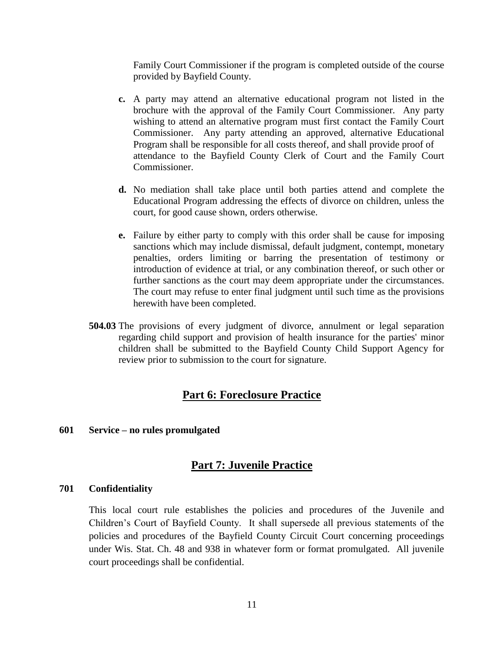Family Court Commissioner if the program is completed outside of the course provided by Bayfield County.

- **c.** A party may attend an alternative educational program not listed in the brochure with the approval of the Family Court Commissioner. Any party wishing to attend an alternative program must first contact the Family Court Commissioner. Any party attending an approved, alternative Educational Program shall be responsible for all costs thereof, and shall provide proof of attendance to the Bayfield County Clerk of Court and the Family Court Commissioner.
- **d.** No mediation shall take place until both parties attend and complete the Educational Program addressing the effects of divorce on children, unless the court, for good cause shown, orders otherwise.
- **e.** Failure by either party to comply with this order shall be cause for imposing sanctions which may include dismissal, default judgment, contempt, monetary penalties, orders limiting or barring the presentation of testimony or introduction of evidence at trial, or any combination thereof, or such other or further sanctions as the court may deem appropriate under the circumstances. The court may refuse to enter final judgment until such time as the provisions herewith have been completed.
- **504.03** The provisions of every judgment of divorce, annulment or legal separation regarding child support and provision of health insurance for the parties' minor children shall be submitted to the Bayfield County Child Support Agency for review prior to submission to the court for signature.

## **Part 6: Foreclosure Practice**

### **601 Service – no rules promulgated**

## **Part 7: Juvenile Practice**

### **701 Confidentiality**

This local court rule establishes the policies and procedures of the Juvenile and Children's Court of Bayfield County. It shall supersede all previous statements of the policies and procedures of the Bayfield County Circuit Court concerning proceedings under Wis. Stat. Ch. 48 and 938 in whatever form or format promulgated. All juvenile court proceedings shall be confidential.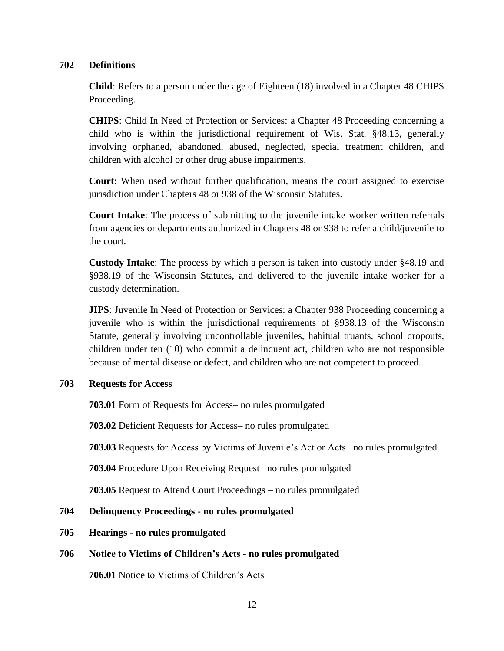## **702 Definitions**

**Child**: Refers to a person under the age of Eighteen (18) involved in a Chapter 48 CHIPS Proceeding.

**CHIPS**: Child In Need of Protection or Services: a Chapter 48 Proceeding concerning a child who is within the jurisdictional requirement of Wis. Stat. §48.13, generally involving orphaned, abandoned, abused, neglected, special treatment children, and children with alcohol or other drug abuse impairments.

**Court**: When used without further qualification, means the court assigned to exercise jurisdiction under Chapters 48 or 938 of the Wisconsin Statutes.

**Court Intake**: The process of submitting to the juvenile intake worker written referrals from agencies or departments authorized in Chapters 48 or 938 to refer a child/juvenile to the court.

**Custody Intake**: The process by which a person is taken into custody under §48.19 and §938.19 of the Wisconsin Statutes, and delivered to the juvenile intake worker for a custody determination.

**JIPS**: Juvenile In Need of Protection or Services: a Chapter 938 Proceeding concerning a juvenile who is within the jurisdictional requirements of §938.13 of the Wisconsin Statute, generally involving uncontrollable juveniles, habitual truants, school dropouts, children under ten (10) who commit a delinquent act, children who are not responsible because of mental disease or defect, and children who are not competent to proceed.

## **703 Requests for Access**

**703.01** Form of Requests for Access– no rules promulgated

**703.02** Deficient Requests for Access– no rules promulgated

**703.03** Requests for Access by Victims of Juvenile's Act or Acts– no rules promulgated

**703.04** Procedure Upon Receiving Request– no rules promulgated

**703.05** Request to Attend Court Proceedings – no rules promulgated

## **704 Delinquency Proceedings - no rules promulgated**

**705 Hearings - no rules promulgated**

## **706 Notice to Victims of Children's Acts - no rules promulgated**

**706.01** Notice to Victims of Children's Acts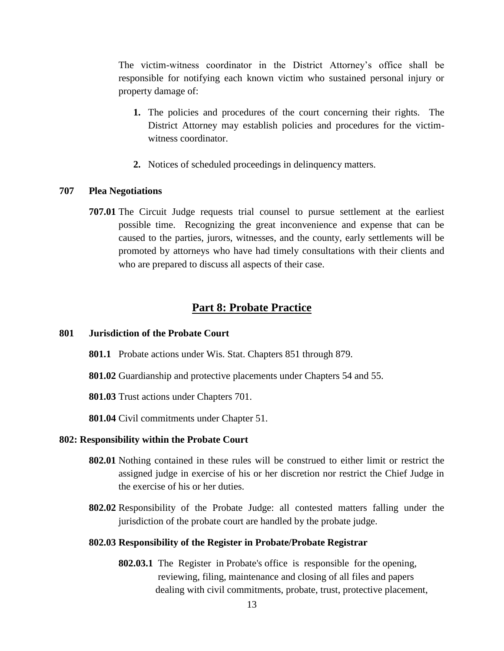The victim-witness coordinator in the District Attorney's office shall be responsible for notifying each known victim who sustained personal injury or property damage of:

- **1.** The policies and procedures of the court concerning their rights. The District Attorney may establish policies and procedures for the victimwitness coordinator.
- **2.** Notices of scheduled proceedings in delinquency matters.

## **707 Plea Negotiations**

**707.01** The Circuit Judge requests trial counsel to pursue settlement at the earliest possible time. Recognizing the great inconvenience and expense that can be caused to the parties, jurors, witnesses, and the county, early settlements will be promoted by attorneys who have had timely consultations with their clients and who are prepared to discuss all aspects of their case.

## **Part 8: Probate Practice**

#### **801 Jurisdiction of the Probate Court**

- **801.1** Probate actions under Wis. Stat. Chapters 851 through 879.
- **801.02** Guardianship and protective placements under Chapters 54 and 55.

**801.03** Trust actions under Chapters 701.

**801.04** Civil commitments under Chapter 51.

#### **802: Responsibility within the Probate Court**

- **802.01** Nothing contained in these rules will be construed to either limit or restrict the assigned judge in exercise of his or her discretion nor restrict the Chief Judge in the exercise of his or her duties.
- **802.02** Responsibility of the Probate Judge: all contested matters falling under the jurisdiction of the probate court are handled by the probate judge.

#### **802.03 Responsibility of the Register in Probate/Probate Registrar**

**802.03.1** The Register in Probate's office is responsible for the opening, reviewing, filing, maintenance and closing of all files and papers dealing with civil commitments, probate, trust, protective placement,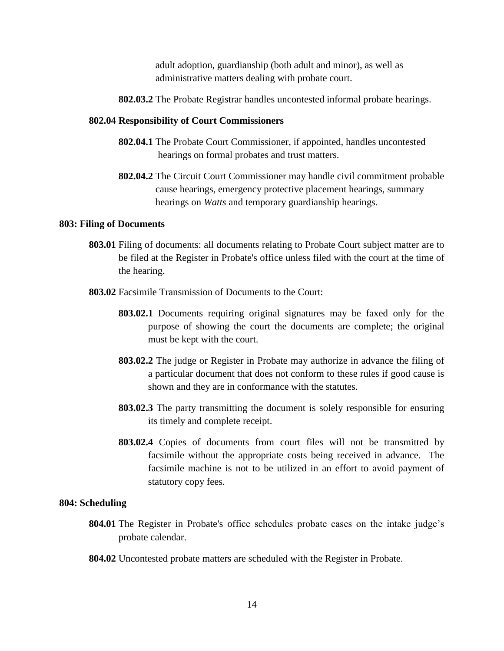adult adoption, guardianship (both adult and minor), as well as administrative matters dealing with probate court.

**802.03.2** The Probate Registrar handles uncontested informal probate hearings.

#### **802.04 Responsibility of Court Commissioners**

- **802.04.1** The Probate Court Commissioner, if appointed, handles uncontested hearings on formal probates and trust matters.
- **802.04.2** The Circuit Court Commissioner may handle civil commitment probable cause hearings, emergency protective placement hearings, summary hearings on *Watts* and temporary guardianship hearings.

#### **803: Filing of Documents**

- **803.01** Filing of documents: all documents relating to Probate Court subject matter are to be filed at the Register in Probate's office unless filed with the court at the time of the hearing.
- **803.02** Facsimile Transmission of Documents to the Court:
	- **803.02.1** Documents requiring original signatures may be faxed only for the purpose of showing the court the documents are complete; the original must be kept with the court.
	- **803.02.2** The judge or Register in Probate may authorize in advance the filing of a particular document that does not conform to these rules if good cause is shown and they are in conformance with the statutes.
	- **803.02.3** The party transmitting the document is solely responsible for ensuring its timely and complete receipt.
	- **803.02.4** Copies of documents from court files will not be transmitted by facsimile without the appropriate costs being received in advance. The facsimile machine is not to be utilized in an effort to avoid payment of statutory copy fees.

#### **804: Scheduling**

- **804.01** The Register in Probate's office schedules probate cases on the intake judge's probate calendar.
- **804.02** Uncontested probate matters are scheduled with the Register in Probate.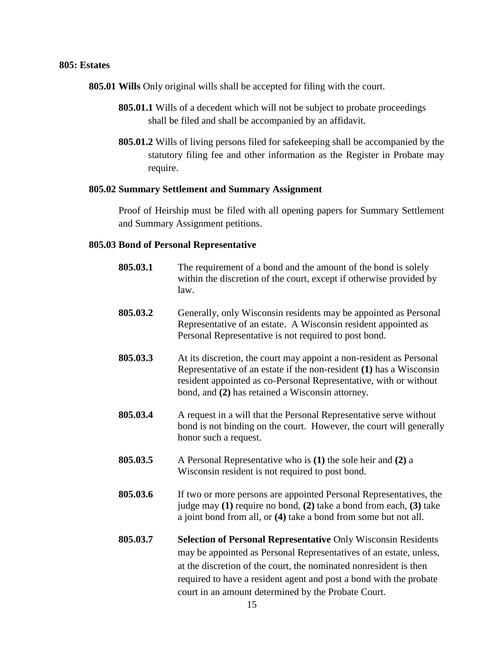### **805: Estates**

**805.01 Wills** Only original wills shall be accepted for filing with the court.

- **805.01.1** Wills of a decedent which will not be subject to probate proceedings shall be filed and shall be accompanied by an affidavit.
- **805.01.2** Wills of living persons filed for safekeeping shall be accompanied by the statutory filing fee and other information as the Register in Probate may require.

### **805.02 Summary Settlement and Summary Assignment**

Proof of Heirship must be filed with all opening papers for Summary Settlement and Summary Assignment petitions.

### **805.03 Bond of Personal Representative**

| 805.03.1 | The requirement of a bond and the amount of the bond is solely<br>within the discretion of the court, except if otherwise provided by<br>law.                                                                                                                                                                                                |  |
|----------|----------------------------------------------------------------------------------------------------------------------------------------------------------------------------------------------------------------------------------------------------------------------------------------------------------------------------------------------|--|
| 805.03.2 | Generally, only Wisconsin residents may be appointed as Personal<br>Representative of an estate. A Wisconsin resident appointed as<br>Personal Representative is not required to post bond.                                                                                                                                                  |  |
| 805.03.3 | At its discretion, the court may appoint a non-resident as Personal<br>Representative of an estate if the non-resident (1) has a Wisconsin<br>resident appointed as co-Personal Representative, with or without<br>bond, and (2) has retained a Wisconsin attorney.                                                                          |  |
| 805.03.4 | A request in a will that the Personal Representative serve without<br>bond is not binding on the court. However, the court will generally<br>honor such a request.                                                                                                                                                                           |  |
| 805.03.5 | A Personal Representative who is (1) the sole heir and (2) a<br>Wisconsin resident is not required to post bond.                                                                                                                                                                                                                             |  |
| 805.03.6 | If two or more persons are appointed Personal Representatives, the<br>judge may (1) require no bond, (2) take a bond from each, (3) take<br>a joint bond from all, or (4) take a bond from some but not all.                                                                                                                                 |  |
| 805.03.7 | <b>Selection of Personal Representative Only Wisconsin Residents</b><br>may be appointed as Personal Representatives of an estate, unless,<br>at the discretion of the court, the nominated nonresident is then<br>required to have a resident agent and post a bond with the probate<br>court in an amount determined by the Probate Court. |  |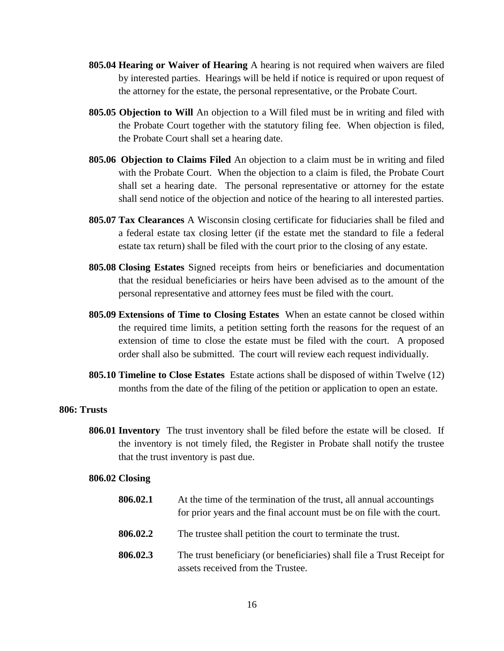- **805.04 Hearing or Waiver of Hearing** A hearing is not required when waivers are filed by interested parties. Hearings will be held if notice is required or upon request of the attorney for the estate, the personal representative, or the Probate Court.
- **805.05 Objection to Will** An objection to a Will filed must be in writing and filed with the Probate Court together with the statutory filing fee. When objection is filed, the Probate Court shall set a hearing date.
- **805.06 Objection to Claims Filed** An objection to a claim must be in writing and filed with the Probate Court. When the objection to a claim is filed, the Probate Court shall set a hearing date. The personal representative or attorney for the estate shall send notice of the objection and notice of the hearing to all interested parties.
- **805.07 Tax Clearances** A Wisconsin closing certificate for fiduciaries shall be filed and a federal estate tax closing letter (if the estate met the standard to file a federal estate tax return) shall be filed with the court prior to the closing of any estate.
- **805.08 Closing Estates** Signed receipts from heirs or beneficiaries and documentation that the residual beneficiaries or heirs have been advised as to the amount of the personal representative and attorney fees must be filed with the court.
- **805.09 Extensions of Time to Closing Estates** When an estate cannot be closed within the required time limits, a petition setting forth the reasons for the request of an extension of time to close the estate must be filed with the court. A proposed order shall also be submitted. The court will review each request individually.
- **805.10 Timeline to Close Estates** Estate actions shall be disposed of within Twelve (12) months from the date of the filing of the petition or application to open an estate.

### **806: Trusts**

**806.01 Inventory** The trust inventory shall be filed before the estate will be closed. If the inventory is not timely filed, the Register in Probate shall notify the trustee that the trust inventory is past due.

#### **806.02 Closing**

| 806.02.1 | At the time of the termination of the trust, all annual accountings<br>for prior years and the final account must be on file with the court. |
|----------|----------------------------------------------------------------------------------------------------------------------------------------------|
| 806.02.2 | The trustee shall petition the court to terminate the trust.                                                                                 |
| 806.02.3 | The trust beneficiary (or beneficiaries) shall file a Trust Receipt for<br>assets received from the Trustee.                                 |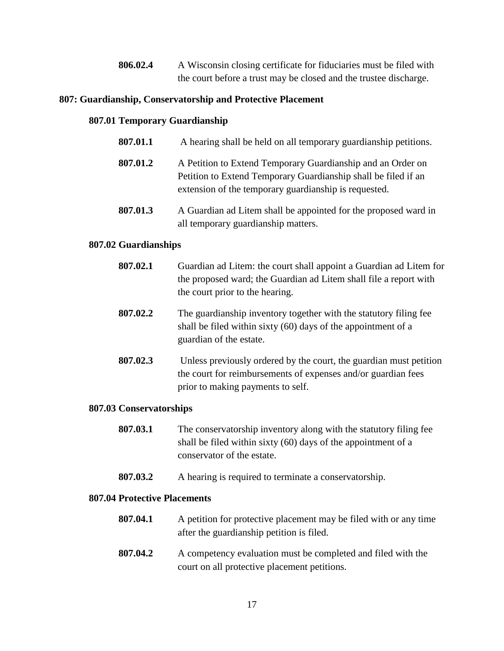**806.02.4** A Wisconsin closing certificate for fiduciaries must be filed with the court before a trust may be closed and the trustee discharge.

## **807: Guardianship, Conservatorship and Protective Placement**

## **807.01 Temporary Guardianship**

- **807.01.1** A hearing shall be held on all temporary guardianship petitions.
- **807.01.2** A Petition to Extend Temporary Guardianship and an Order on Petition to Extend Temporary Guardianship shall be filed if an extension of the temporary guardianship is requested.
- **807.01.3** A Guardian ad Litem shall be appointed for the proposed ward in all temporary guardianship matters.

## **807.02 Guardianships**

| 807.02.1 | Guardian ad Litem: the court shall appoint a Guardian ad Litem for<br>the proposed ward; the Guardian ad Litem shall file a report with<br>the court prior to the hearing. |
|----------|----------------------------------------------------------------------------------------------------------------------------------------------------------------------------|
| 807.02.2 | The guardianship inventory together with the statutory filing fee<br>shall be filed within sixty (60) days of the appointment of a<br>guardian of the estate.              |
| 807.02.3 | Unless previously ordered by the court, the guardian must petition<br>the court for reimbursements of expenses and/or guardian fees                                        |

## **807.03 Conservatorships**

- **807.03.1** The conservatorship inventory along with the statutory filing fee shall be filed within sixty (60) days of the appointment of a conservator of the estate.
- **807.03.2** A hearing is required to terminate a conservatorship.

prior to making payments to self.

## **807.04 Protective Placements**

- **807.04.1** A petition for protective placement may be filed with or any time after the guardianship petition is filed.
- **807.04.2** A competency evaluation must be completed and filed with the court on all protective placement petitions.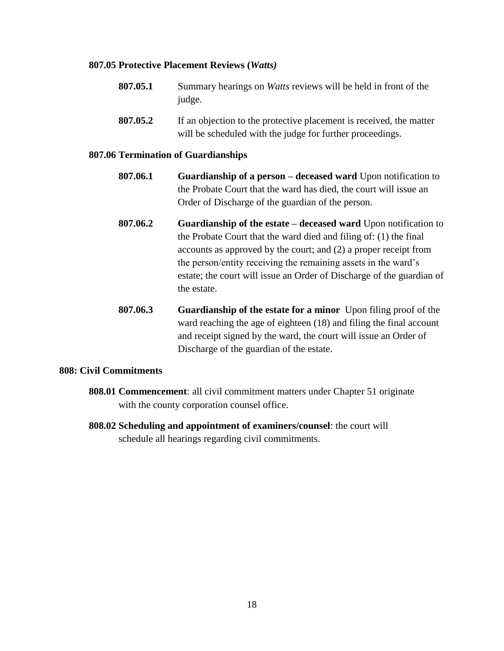### **807.05 Protective Placement Reviews (***Watts)*

- **807.05.1** Summary hearings on *Watts* reviews will be held in front of the judge.
- **807.05.2** If an objection to the protective placement is received, the matter will be scheduled with the judge for further proceedings.

### **807.06 Termination of Guardianships**

- **807.06.1 Guardianship of a person – deceased ward** Upon notification to the Probate Court that the ward has died, the court will issue an Order of Discharge of the guardian of the person.
- **807.06.2 Guardianship of the estate – deceased ward** Upon notification to the Probate Court that the ward died and filing of: (1) the final accounts as approved by the court; and (2) a proper receipt from the person/entity receiving the remaining assets in the ward's estate; the court will issue an Order of Discharge of the guardian of the estate.
- **807.06.3 Guardianship of the estate for a minor** Upon filing proof of the ward reaching the age of eighteen (18) and filing the final account and receipt signed by the ward, the court will issue an Order of Discharge of the guardian of the estate.

## **808: Civil Commitments**

- **808.01 Commencement**: all civil commitment matters under Chapter 51 originate with the county corporation counsel office.
- **808.02 Scheduling and appointment of examiners/counsel**: the court will schedule all hearings regarding civil commitments.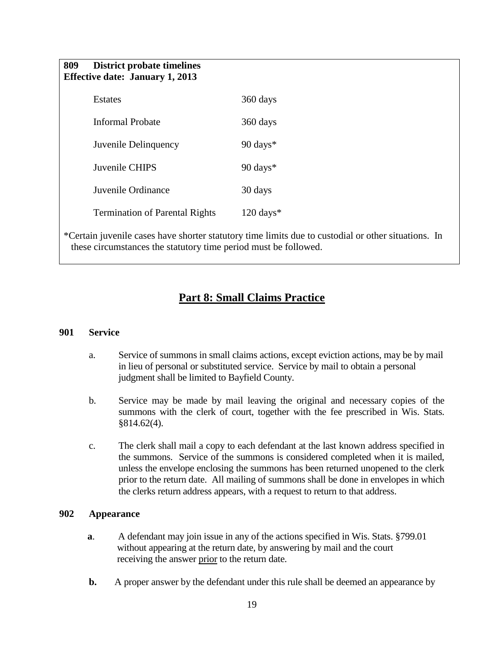| 809 District probate timelines         |  |
|----------------------------------------|--|
| <b>Effective date: January 1, 2013</b> |  |

| <b>Estates</b>                        | 360 days           |
|---------------------------------------|--------------------|
| Informal Probate                      | 360 days           |
| Juvenile Delinquency                  | 90 days $*$        |
| Juvenile CHIPS                        | 90 days $*$        |
| Juvenile Ordinance                    | 30 days            |
| <b>Termination of Parental Rights</b> | $120 \text{ days}$ |

\*Certain juvenile cases have shorter statutory time limits due to custodial or other situations. In these circumstances the statutory time period must be followed.

## **Part 8: Small Claims Practice**

### **901 Service**

- a. Service of summons in small claims actions, except eviction actions, may be by mail in lieu of personal or substituted service. Service by mail to obtain a personal judgment shall be limited to Bayfield County.
- b. Service may be made by mail leaving the original and necessary copies of the summons with the clerk of court, together with the fee prescribed in Wis. Stats. §814.62(4).
- c. The clerk shall mail a copy to each defendant at the last known address specified in the summons. Service of the summons is considered completed when it is mailed, unless the envelope enclosing the summons has been returned unopened to the clerk prior to the return date. All mailing of summons shall be done in envelopes in which the clerks return address appears, with a request to return to that address.

### **902 Appearance**

- **a.** A defendant may join issue in any of the actions specified in Wis. Stats. §799.01 without appearing at the return date, by answering by mail and the court receiving the answer prior to the return date.
- **b.** A proper answer by the defendant under this rule shall be deemed an appearance by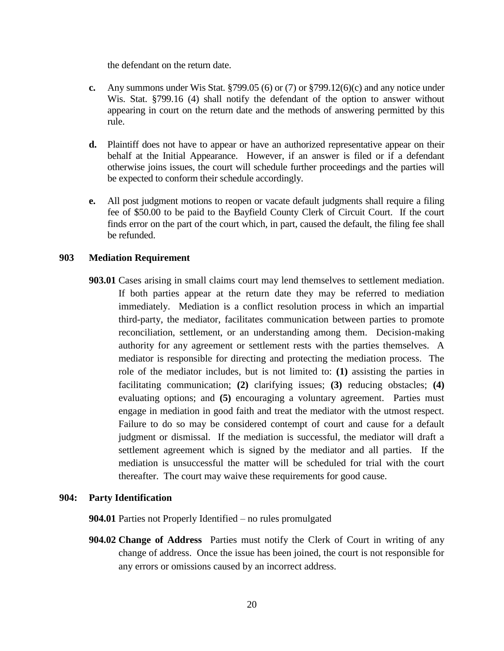the defendant on the return date.

- **c.** Any summons under Wis Stat. §799.05 (6) or (7) or §799.12(6)(c) and any notice under Wis. Stat. §799.16 (4) shall notify the defendant of the option to answer without appearing in court on the return date and the methods of answering permitted by this rule.
- **d.** Plaintiff does not have to appear or have an authorized representative appear on their behalf at the Initial Appearance. However, if an answer is filed or if a defendant otherwise joins issues, the court will schedule further proceedings and the parties will be expected to conform their schedule accordingly.
- **e.** All post judgment motions to reopen or vacate default judgments shall require a filing fee of \$50.00 to be paid to the Bayfield County Clerk of Circuit Court. If the court finds error on the part of the court which, in part, caused the default, the filing fee shall be refunded.

### **903 Mediation Requirement**

**903.01** Cases arising in small claims court may lend themselves to settlement mediation. If both parties appear at the return date they may be referred to mediation immediately. Mediation is a conflict resolution process in which an impartial third-party, the mediator, facilitates communication between parties to promote reconciliation, settlement, or an understanding among them. Decision-making authority for any agreement or settlement rests with the parties themselves. A mediator is responsible for directing and protecting the mediation process. The role of the mediator includes, but is not limited to: **(1)** assisting the parties in facilitating communication; **(2)** clarifying issues; **(3)** reducing obstacles; **(4)** evaluating options; and **(5)** encouraging a voluntary agreement. Parties must engage in mediation in good faith and treat the mediator with the utmost respect. Failure to do so may be considered contempt of court and cause for a default judgment or dismissal. If the mediation is successful, the mediator will draft a settlement agreement which is signed by the mediator and all parties. If the mediation is unsuccessful the matter will be scheduled for trial with the court thereafter. The court may waive these requirements for good cause.

### **904: Party Identification**

**904.01** Parties not Properly Identified – no rules promulgated

**904.02 Change of Address** Parties must notify the Clerk of Court in writing of any change of address. Once the issue has been joined, the court is not responsible for any errors or omissions caused by an incorrect address.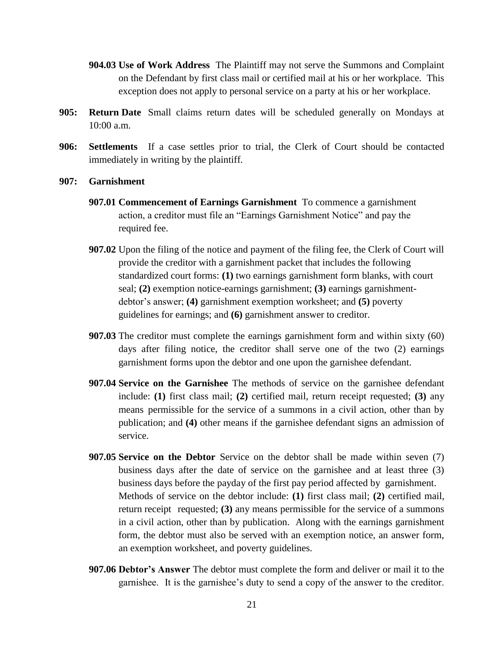- **904.03 Use of Work Address** The Plaintiff may not serve the Summons and Complaint on the Defendant by first class mail or certified mail at his or her workplace. This exception does not apply to personal service on a party at his or her workplace.
- **905: Return Date** Small claims return dates will be scheduled generally on Mondays at 10:00 a.m.
- **906: Settlements** If a case settles prior to trial, the Clerk of Court should be contacted immediately in writing by the plaintiff.
- **907: Garnishment**
	- **907.01 Commencement of Earnings Garnishment** To commence a garnishment action, a creditor must file an "Earnings Garnishment Notice" and pay the required fee.
	- **907.02** Upon the filing of the notice and payment of the filing fee, the Clerk of Court will provide the creditor with a garnishment packet that includes the following standardized court forms: **(1)** two earnings garnishment form blanks, with court seal; **(2)** exemption notice-earnings garnishment; **(3)** earnings garnishmentdebtor's answer; **(4)** garnishment exemption worksheet; and **(5)** poverty guidelines for earnings; and **(6)** garnishment answer to creditor.
	- **907.03** The creditor must complete the earnings garnishment form and within sixty (60) days after filing notice, the creditor shall serve one of the two (2) earnings garnishment forms upon the debtor and one upon the garnishee defendant.
	- **907.04 Service on the Garnishee** The methods of service on the garnishee defendant include: **(1)** first class mail; **(2)** certified mail, return receipt requested; **(3)** any means permissible for the service of a summons in a civil action, other than by publication; and **(4)** other means if the garnishee defendant signs an admission of service.
	- **907.05 Service on the Debtor** Service on the debtor shall be made within seven (7) business days after the date of service on the garnishee and at least three (3) business days before the payday of the first pay period affected by garnishment. Methods of service on the debtor include: **(1)** first class mail; **(2)** certified mail, return receipt requested; **(3)** any means permissible for the service of a summons in a civil action, other than by publication. Along with the earnings garnishment form, the debtor must also be served with an exemption notice, an answer form, an exemption worksheet, and poverty guidelines.
	- **907.06 Debtor's Answer** The debtor must complete the form and deliver or mail it to the garnishee. It is the garnishee's duty to send a copy of the answer to the creditor.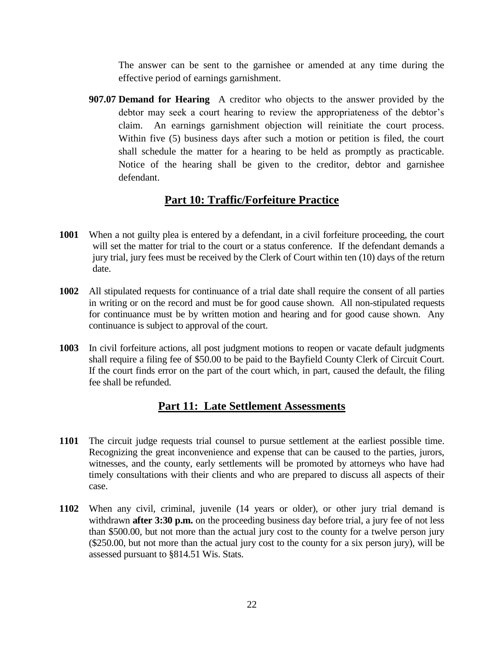The answer can be sent to the garnishee or amended at any time during the effective period of earnings garnishment.

**907.07 Demand for Hearing** A creditor who objects to the answer provided by the debtor may seek a court hearing to review the appropriateness of the debtor's claim. An earnings garnishment objection will reinitiate the court process. Within five (5) business days after such a motion or petition is filed, the court shall schedule the matter for a hearing to be held as promptly as practicable. Notice of the hearing shall be given to the creditor, debtor and garnishee defendant.

## **Part 10: Traffic/Forfeiture Practice**

- **1001** When a not guilty plea is entered by a defendant, in a civil forfeiture proceeding, the court will set the matter for trial to the court or a status conference. If the defendant demands a jury trial, jury fees must be received by the Clerk of Court within ten (10) days of the return date.
- **1002** All stipulated requests for continuance of a trial date shall require the consent of all parties in writing or on the record and must be for good cause shown. All non-stipulated requests for continuance must be by written motion and hearing and for good cause shown. Any continuance is subject to approval of the court.
- **1003** In civil forfeiture actions, all post judgment motions to reopen or vacate default judgments shall require a filing fee of \$50.00 to be paid to the Bayfield County Clerk of Circuit Court. If the court finds error on the part of the court which, in part, caused the default, the filing fee shall be refunded.

## **Part 11: Late Settlement Assessments**

- **1101** The circuit judge requests trial counsel to pursue settlement at the earliest possible time. Recognizing the great inconvenience and expense that can be caused to the parties, jurors, witnesses, and the county, early settlements will be promoted by attorneys who have had timely consultations with their clients and who are prepared to discuss all aspects of their case.
- **1102** When any civil, criminal, juvenile (14 years or older), or other jury trial demand is withdrawn **after 3:30 p.m.** on the proceeding business day before trial, a jury fee of not less than \$500.00, but not more than the actual jury cost to the county for a twelve person jury (\$250.00, but not more than the actual jury cost to the county for a six person jury), will be assessed pursuant to §814.51 Wis. Stats.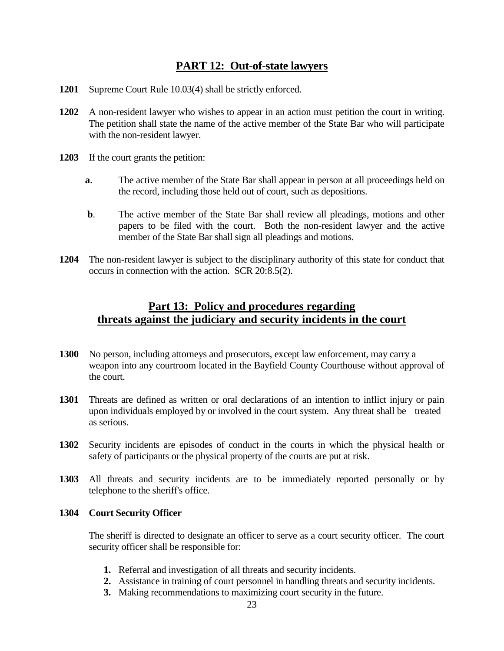## **PART 12: Out-of-state lawyers**

- **1201** Supreme Court Rule 10.03(4) shall be strictly enforced.
- **1202** A non-resident lawyer who wishes to appear in an action must petition the court in writing. The petition shall state the name of the active member of the State Bar who will participate with the non-resident lawyer.
- **1203** If the court grants the petition:
	- **a**. The active member of the State Bar shall appear in person at all proceedings held on the record, including those held out of court, such as depositions.
	- **b**. The active member of the State Bar shall review all pleadings, motions and other papers to be filed with the court. Both the non-resident lawyer and the active member of the State Bar shall sign all pleadings and motions.
- **1204** The non-resident lawyer is subject to the disciplinary authority of this state for conduct that occurs in connection with the action. SCR 20:8.5(2).

## **Part 13: Policy and procedures regarding threats against the judiciary and security incidents in the court**

- **1300** No person, including attorneys and prosecutors, except law enforcement, may carry a weapon into any courtroom located in the Bayfield County Courthouse without approval of the court.
- **1301** Threats are defined as written or oral declarations of an intention to inflict injury or pain upon individuals employed by or involved in the court system. Any threat shall be treated as serious.
- **1302** Security incidents are episodes of conduct in the courts in which the physical health or safety of participants or the physical property of the courts are put at risk.
- **1303** All threats and security incidents are to be immediately reported personally or by telephone to the sheriff's office.

## **1304 Court Security Officer**

The sheriff is directed to designate an officer to serve as a court security officer. The court security officer shall be responsible for:

- **1.** Referral and investigation of all threats and security incidents.
- **2.** Assistance in training of court personnel in handling threats and security incidents.
- **3.** Making recommendations to maximizing court security in the future.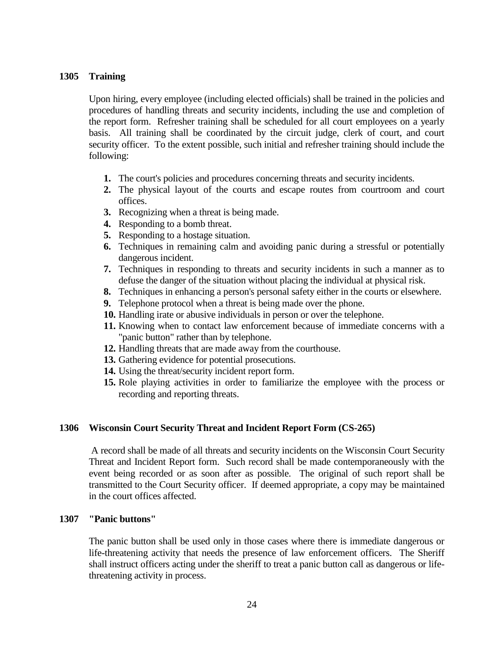## **1305 Training**

Upon hiring, every employee (including elected officials) shall be trained in the policies and procedures of handling threats and security incidents, including the use and completion of the report form. Refresher training shall be scheduled for all court employees on a yearly basis. All training shall be coordinated by the circuit judge, clerk of court, and court security officer. To the extent possible, such initial and refresher training should include the following:

- **1.** The court's policies and procedures concerning threats and security incidents.
- **2.** The physical layout of the courts and escape routes from courtroom and court offices.
- **3.** Recognizing when a threat is being made.
- **4.** Responding to a bomb threat.
- **5.** Responding to a hostage situation.
- **6.** Techniques in remaining calm and avoiding panic during a stressful or potentially dangerous incident.
- **7.** Techniques in responding to threats and security incidents in such a manner as to defuse the danger of the situation without placing the individual at physical risk.
- **8.** Techniques in enhancing a person's personal safety either in the courts or elsewhere.
- **9.** Telephone protocol when a threat is being made over the phone.
- **10.** Handling irate or abusive individuals in person or over the telephone.
- **11.** Knowing when to contact law enforcement because of immediate concerns with a "panic button" rather than by telephone.
- **12.** Handling threats that are made away from the courthouse.
- **13.** Gathering evidence for potential prosecutions.
- **14.** Using the threat/security incident report form.
- **15.** Role playing activities in order to familiarize the employee with the process or recording and reporting threats.

### **1306 Wisconsin Court Security Threat and Incident Report Form (CS-265)**

A record shall be made of all threats and security incidents on the Wisconsin Court Security Threat and Incident Report form. Such record shall be made contemporaneously with the event being recorded or as soon after as possible. The original of such report shall be transmitted to the Court Security officer. If deemed appropriate, a copy may be maintained in the court offices affected.

### **1307 "Panic buttons"**

The panic button shall be used only in those cases where there is immediate dangerous or life-threatening activity that needs the presence of law enforcement officers. The Sheriff shall instruct officers acting under the sheriff to treat a panic button call as dangerous or lifethreatening activity in process.